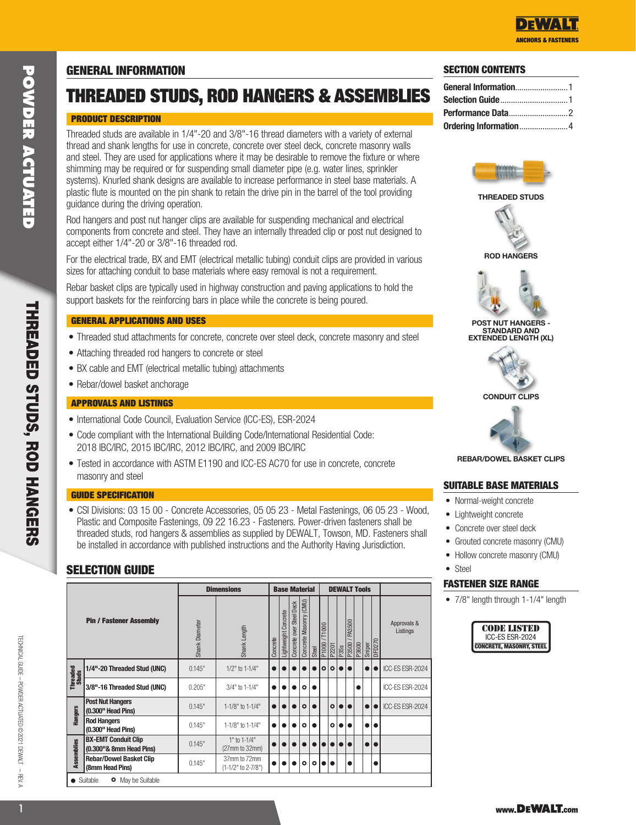# GENERAL INFORMATION

# THREADED STUDS, ROD HANGERS & ASSEMBLIES

# PRODUCT DESCRIPTION

Threaded studs are available in 1/4"-20 and 3/8"-16 thread diameters with a variety of external thread and shank lengths for use in concrete, concrete over steel deck, concrete masonry walls and steel. They are used for applications where it may be desirable to remove the fixture or where shimming may be required or for suspending small diameter pipe (e.g. water lines, sprinkler systems). Knurled shank designs are available to increase performance in steel base materials. A plastic flute is mounted on the pin shank to retain the drive pin in the barrel of the tool providing guidance during the driving operation.

Rod hangers and post nut hanger clips are available for suspending mechanical and electrical components from concrete and steel. They have an internally threaded clip or post nut designed to accept either 1/4"-20 or 3/8"-16 threaded rod.

For the electrical trade, BX and EMT (electrical metallic tubing) conduit clips are provided in various sizes for attaching conduit to base materials where easy removal is not a requirement.

Rebar basket clips are typically used in highway construction and paving applications to hold the support baskets for the reinforcing bars in place while the concrete is being poured.

# GENERAL APPLICATIONS AND USES

- Threaded stud attachments for concrete, concrete over steel deck, concrete masonry and steel
- Attaching threaded rod hangers to concrete or steel
- BX cable and EMT (electrical metallic tubing) attachments
- Rebar/dowel basket anchorage

# APPROVALS AND LISTINGS

- International Code Council, Evaluation Service (ICC-ES), ESR-2024
- Code compliant with the International Building Code/International Residential Code: 2018 IBC/IRC, 2015 IBC/IRC, 2012 IBC/IRC, and 2009 IBC/IRC
- Tested in accordance with ASTM E1190 and ICC-ES AC70 for use in concrete, concrete masonry and steel

#### GUIDE SPECIFICATION

• CSI Divisions: 03 15 00 - Concrete Accessories, 05 05 23 - Metal Fastenings, 06 05 23 - Wood, Plastic and Composite Fastenings, 09 22 16.23 - Fasteners. Power-driven fasteners shall be threaded studs, rod hangers & assemblies as supplied by DEWALT, Towson, MD. Fasteners shall be installed in accordance with published instructions and the Authority Having Jurisdiction.

# SELECTION GUIDE

|                                |                                                       |                | <b>Dimensions</b>                  |          |                      |                          | <b>Base Material</b>   |         |                 | <b>DEWALT Tools</b>      |                  |        |       |           |               |                         |
|--------------------------------|-------------------------------------------------------|----------------|------------------------------------|----------|----------------------|--------------------------|------------------------|---------|-----------------|--------------------------|------------------|--------|-------|-----------|---------------|-------------------------|
| <b>Pin / Fastener Assembly</b> |                                                       | Shank Diameter | Shank Length                       | Concrete | Lightweight Concrete | Concrete over Steel Deck | Concrete Masonry (CMU) | Steel   | T1000<br>P1000/ | P2201<br>P358<br>P3500 / |                  | PA3500 | P3600 | Sniper    | <b>DFD270</b> | Approvals &<br>Listings |
| Threaded<br>Studs              | 1/4"-20 Threaded Stud (UNC)                           | 0.145"         | 1/2" to 1-1/4"                     |          |                      |                          |                        |         | $\circ$         | $\circ$                  | $\bullet\bullet$ |        |       |           |               | ICC-ES ESR-2024         |
|                                | 3/8"-16 Threaded Stud (UNC)                           | 0.205"         | 3/4" to 1-1/4"                     |          |                      |                          | $\circ$                |         |                 |                          |                  |        |       |           |               | ICC-ES ESR-2024         |
| <b>Hangers</b>                 | <b>Post Nut Hangers</b><br>(0.300" Head Pins)         | 0.145"         | 1-1/8" to 1-1/4"                   |          |                      |                          | $\circ$                |         |                 | $\circ$                  | $\bullet\bullet$ |        |       |           |               | ICC-ES ESR-2024         |
|                                | <b>Rod Hangers</b><br>(0.300" Head Pins)              | 0.145"         | 1-1/8" to 1-1/4"                   |          |                      |                          | $\circ$                |         |                 | $\circ$                  | n۱               |        |       |           |               |                         |
| <b>Assemblies</b>              | <b>BX-EMT Conduit Clip</b><br>(0.300"& 8mm Head Pins) | 0.145"         | 1" to 1-1/4"<br>(27mm to 32mm)     |          |                      |                          |                        |         |                 |                          | $\bullet\bullet$ |        |       | $\bullet$ | I۰            |                         |
|                                | <b>Rebar/Dowel Basket Clip</b><br>(8mm Head Pins)     | 0.145"         | 37mm to 72mm<br>(1-1/2" to 2-7/8") |          |                      |                          | $\circ$                | $\circ$ |                 | ●                        |                  |        |       |           |               |                         |
|                                | • Suitable<br>May be Suitable<br>۰                    |                |                                    |          |                      |                          |                        |         |                 |                          |                  |        |       |           |               |                         |

# SECTION CONTENTS



#### THREADED STUDS







POST NUT HANGERS STANDARD AND EXTENDED LENGTH (XL)



#### CONDUIT CLIPS



REBAR/DOWEL BASKET CLIPS

# SUITABLE BASE MATERIALS

- Normal-weight concrete
- Lightweight concrete
	- Concrete over steel deck
	- Grouted concrete masonry (CMU)
	- Hollow concrete masonry (CMU)
- Steel

#### FASTENER SIZE RANGE

• 7/8" length through 1-1/4" length



 $-$ REV.A

TECHNICAL GUIDE – Powder Actuated ©2021 DEWALT – REV. a

TECHNICAL GUIDE - POWDER ACTUATED ©2021 DEWALT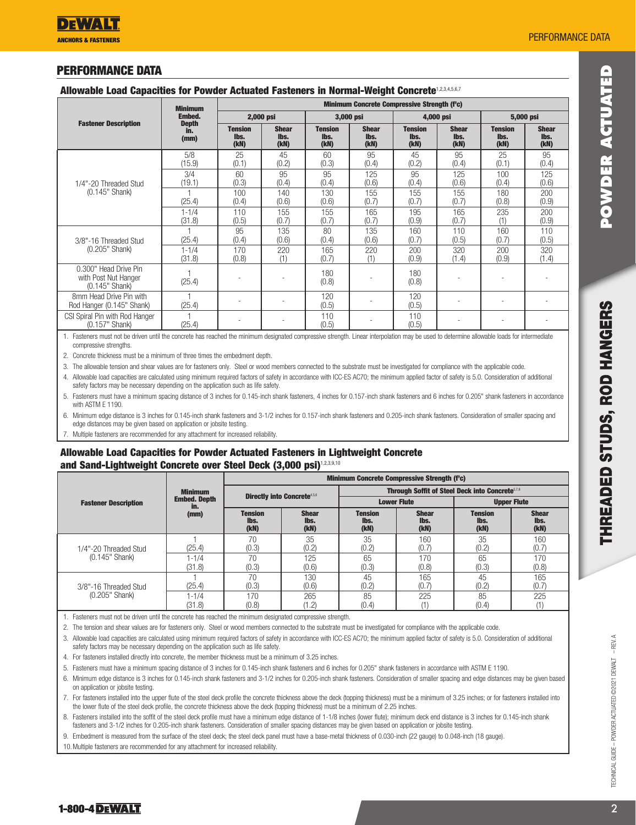# PERFORMANCE DATA

#### Allowable Load Capacities for Powder Actuated Fasteners in Normal-Weight Concrete<sup>1,2,3,4,5,67</sup>

|                                                                   | <b>Minimum</b>              | <b>Minimum Concrete Compressive Strength (f'c)</b> |                              |                                |                              |                                |                              |                                                         |                              |  |  |
|-------------------------------------------------------------------|-----------------------------|----------------------------------------------------|------------------------------|--------------------------------|------------------------------|--------------------------------|------------------------------|---------------------------------------------------------|------------------------------|--|--|
|                                                                   | <b>Embed.</b>               | 2,000 psi                                          |                              |                                | 3,000 psi                    | 4,000 psi                      |                              |                                                         |                              |  |  |
| <b>Fastener Description</b>                                       | <b>Depth</b><br>in.<br>(mm) | <b>Tension</b><br>lbs.<br>(kN)                     | <b>Shear</b><br>lbs.<br>(kN) | <b>Tension</b><br>lbs.<br>(kN) | <b>Shear</b><br>lbs.<br>(kN) | <b>Tension</b><br>lbs.<br>(kN) | <b>Shear</b><br>lbs.<br>(kN) | <b>Tension</b><br>lbs.<br>(kN)                          | <b>Shear</b><br>lbs.<br>(kN) |  |  |
|                                                                   | 5/8<br>(15.9)               | 25<br>(0.1)                                        | 45<br>(0.2)                  | 60<br>(0.3)                    | 95<br>(0.4)                  | 45<br>(0.2)                    | 95<br>(0.4)                  | 25<br>(0.1)                                             | 95<br>(0.4)                  |  |  |
| 1/4"-20 Threaded Stud                                             | 3/4<br>(19.1)               | 60<br>(0.3)                                        | 95<br>(0.4)                  | 95<br>(0.4)                    | 125<br>(0.6)                 | 95<br>(0.4)                    | 125<br>(0.6)                 | 100<br>(0.4)                                            | 125<br>(0.6)                 |  |  |
| (0.145" Shank)                                                    | (25.4)                      | 100<br>(0.4)                                       | 140<br>(0.6)                 | 130<br>(0.6)                   | 155<br>(0.7)                 | 155<br>(0.7)                   | 155<br>(0.7)                 | 180<br>(0.8)                                            | 200<br>(0.9)                 |  |  |
|                                                                   | $1 - 1/4$<br>(31.8)         | 110<br>(0.5)                                       | 155<br>(0.7)                 | 155<br>(0.7)                   | 165<br>(0.7)                 | 195<br>(0.9)                   | 165<br>(0.7)                 | 5,000 psi<br>235<br>(1)<br>160<br>(0.7)<br>200<br>(0.9) | 200<br>(0.9)                 |  |  |
| 3/8"-16 Threaded Stud                                             | (25.4)                      | 95<br>(0.4)                                        | 135<br>(0.6)                 | 80<br>(0.4)                    | 135<br>(0.6)                 | 160<br>(0.7)                   | 110<br>(0.5)                 |                                                         | 110<br>(0.5)                 |  |  |
| (0.205" Shank)                                                    | $1 - 1/4$<br>(31.8)         | 170<br>(0.8)                                       | 220<br>(1)                   | 165<br>(0.7)                   | 220<br>(1)                   | 200<br>(0.9)                   | 320<br>(1.4)                 |                                                         | 320<br>(1.4)                 |  |  |
| 0.300" Head Drive Pin<br>with Post Nut Hanger<br>$(0.145"$ Shank) | (25.4)                      |                                                    |                              | 180<br>(0.8)                   |                              | 180<br>(0.8)                   |                              |                                                         |                              |  |  |
| 8mm Head Drive Pin with<br>Rod Hanger (0.145" Shank)              | (25.4)                      |                                                    |                              | 120<br>(0.5)                   |                              | 120<br>(0.5)                   |                              |                                                         |                              |  |  |
| CSI Spiral Pin with Rod Hanger<br>$(0.157"$ Shank)                | (25.4)                      |                                                    |                              | 110<br>(0.5)                   |                              | 110<br>(0.5)                   |                              |                                                         |                              |  |  |

1. Fasteners must not be driven until the concrete has reached the minimum designated compressive strength. Linear intermation may be used to determine allowable loads for intermediate compressive strengths.

2. Concrete thickness must be a minimum of three times the embedment depth.

3. The allowable tension and shear values are for fasteners only. Steel or wood members connected to the substrate must be investigated for compliance with the applicable code.

4. Allowable load capacities are calculated using minimum required factors of safety in accordance with ICC-ES AC70; the minimum applied factor of safety is 5.0. Consideration of additional safety factors may be necessary depending on the application such as life safety.

5. Fasteners must have a minimum spacing distance of 3 inches for 0.145-inch shank fasteners, 4 inches for 0.157-inch shank fasteners and 6 inches for 0.205" shank fasteners in accordance with ASTM E 1190.

6. Minimum edge distance is 3 inches for 0.145-inch shank fasteners and 3-1/2 inches for 0.157-inch shank fasteners and 0.205-inch shank fasteners. Consideration of smaller spacing and edge distances may be given based on application or jobsite testing.

7. Multiple fasteners are recommended for any attachment for increased reliability.

# Allowable Load Capacities for Powder Actuated Fasteners in Lightweight Concrete and Sand-Lightweight Concrete over Steel Deck (3,000 psi)1,2,3,9,10

|                             |                                                      | <b>Minimum Concrete Compressive Strength (f'c)</b> |                                                                                                                                                                                                                                      |                                                                    |                              |                                |                              |  |  |  |  |
|-----------------------------|------------------------------------------------------|----------------------------------------------------|--------------------------------------------------------------------------------------------------------------------------------------------------------------------------------------------------------------------------------------|--------------------------------------------------------------------|------------------------------|--------------------------------|------------------------------|--|--|--|--|
|                             | <b>Minimum</b><br><b>Embed. Depth</b><br>in.<br>(mm) |                                                    |                                                                                                                                                                                                                                      | <b>Through Soffit of Steel Deck into Concrete</b> <sup>5,7,8</sup> |                              |                                |                              |  |  |  |  |
| <b>Fastener Description</b> |                                                      |                                                    |                                                                                                                                                                                                                                      |                                                                    |                              | <b>Upper Flute</b>             |                              |  |  |  |  |
|                             |                                                      | <b>Tension</b><br>lbs.<br>(kN)                     | <b>Shear</b><br>lbs.<br>(kN)                                                                                                                                                                                                         | <b>Tension</b><br>lbs.<br>(kN)                                     | <b>Shear</b><br>lbs.<br>(kN) | <b>Tension</b><br>lbs.<br>(kN) | <b>Shear</b><br>lbs.<br>(kN) |  |  |  |  |
| 1/4"-20 Threaded Stud       | (25.4)                                               | 70<br>(0.3)                                        | 35<br>(0.2)                                                                                                                                                                                                                          | 35<br>(0.2)                                                        | 160<br>(0.7)                 | 35<br>(0.2)                    | 160<br>(0.7)                 |  |  |  |  |
| $(0.145"$ Shank)            | $1 - 1/4$<br>(31.8)                                  | 70<br>(0.3)                                        | <b>Directly into Concrete4,5,6</b><br><b>Lower Flute</b><br>65<br>125<br>170<br>65<br>(0.3)<br>(0.6)<br>(0.3)<br>(0.8)<br>70<br>130<br>45<br>165<br>45<br>(0.3)<br>(0.2)<br>(0.2)<br>(0.6)<br>(0.7)<br>170<br>85<br>265<br>225<br>85 |                                                                    | 170<br>(0.8)                 |                                |                              |  |  |  |  |
| 3/8"-16 Threaded Stud       | (25.4)                                               |                                                    |                                                                                                                                                                                                                                      |                                                                    |                              |                                | 165<br>(0.7)                 |  |  |  |  |
| $(0.205"$ Shank)            | $1 - 1/4$<br>(31.8)                                  | (0.8)                                              | (1.2)                                                                                                                                                                                                                                | (0.4)                                                              |                              | (0.4)                          | 225                          |  |  |  |  |

1. Fasteners must not be driven until the concrete has reached the minimum designated compressive strength.

2. The tension and shear values are for fasteners only. Steel or wood members connected to the substrate must be investigated for compliance with the applicable code.

3. Allowable load capacities are calculated using minimum required factors of safety in accordance with ICC-ES AC70; the minimum applied factor of safety is 5.0. Consideration of additional safety factors may be necessary depending on the application such as life safety.

4. For fasteners installed directly into concrete, the member thickness must be a minimum of 3.25 inches.

5. Fasteners must have a minimum spacing distance of 3 inches for 0.145-inch shank fasteners and 6 inches for 0.205" shank fasteners in accordance with ASTM E 1190.

6. Minimum edge distance is 3 inches for 0.145-inch shank fasteners and 3-1/2 inches for 0.205-inch shank fasteners. Consideration of smaller spacing and edge distances may be given based on application or jobsite testing.

7. For fasteners installed into the upper flute of the steel deck profile the concrete thickness above the deck (topping thickness) must be a minimum of 3.25 inches; or for fasteners installed into the lower flute of the steel deck profile, the concrete thickness above the deck (topping thickness) must be a minimum of 2.25 inches.

8. Fasteners installed into the soffit of the steel deck profile must have a minimum edge distance of 1-1/8 inches (lower flute); minimum deck end distance is 3 inches for 0.145-inch shank asteners and 3-1/2 inches for 0.205-inch shank fasteners. Consideration of smaller spacing distances may be given based on application or jobsite testing.

9. Embedment is measured from the surface of the steel deck; the steel deck panel must have a base-metal thickness of 0.030-inch (22 gauge) to 0.048-inch (18 gauge).

10.Multiple fasteners are recommended for any attachment for increased reliability.

TECHNICAL GUIDE – Powder Actuated ©2021 DEWALT – REV. a

TECHNICAL GUIDE - POWDER ACTUATED @2021 DEWALT - REV. A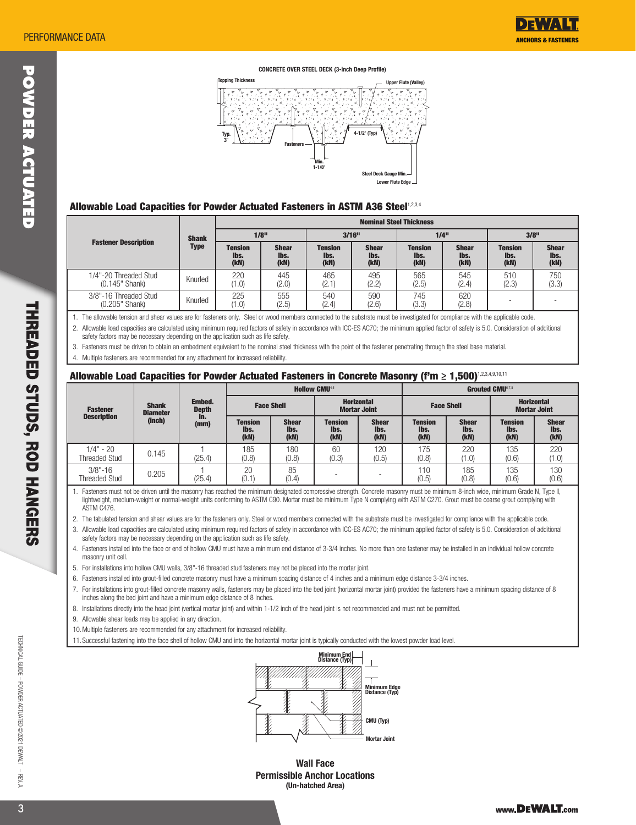



#### Allowable Load Capacities for Powder Actuated Fasteners in ASTM A36 Steel1,2,3,4

|                                           | <b>Shank</b><br>Type | <b>Nominal Steel Thickness</b> |                              |                                |                              |                                |                              |                                |                              |  |  |  |
|-------------------------------------------|----------------------|--------------------------------|------------------------------|--------------------------------|------------------------------|--------------------------------|------------------------------|--------------------------------|------------------------------|--|--|--|
|                                           |                      | $1/8$ <sup>11</sup>            |                              | $3/16$ <sup>11</sup>           |                              |                                | 1/4"                         | $3/8$ <sup>11</sup>            |                              |  |  |  |
| <b>Fastener Description</b>               |                      | <b>Tension</b><br>lbs.<br>(kN) | <b>Shear</b><br>lbs.<br>(kN) | <b>Tension</b><br>lbs.<br>(kN) | <b>Shear</b><br>lbs.<br>(kN) | <b>Tension</b><br>lbs.<br>(kN) | <b>Shear</b><br>lbs.<br>(kN) | <b>Tension</b><br>lbs.<br>(kN) | <b>Shear</b><br>lbs.<br>(kN) |  |  |  |
| 1/4"-20 Threaded Stud<br>$(0.145"$ Shank) | Knurled              | 220<br>(1.0)                   | 445<br>(2.0)                 | 465<br>(2.1)                   | 495<br>(2.2)                 | 565<br>(2.5)                   | 545<br>(2.4)                 | 510<br>(2.3)                   | 750<br>(3.3)                 |  |  |  |
| 3/8"-16 Threaded Stud<br>(0.205" Shank)   | Knurled              | 225<br>(1.0)                   | 555<br>(2.5)                 | 540<br>(2.4)                   | 590<br>(2.6)                 | 745<br>(3.3)                   | 620<br>(2.8)                 | -                              |                              |  |  |  |

### Allowable Load Capacities for Powder Actuated Fasteners in Concrete Masonry (f'm ≥ 1,500)1,2,3,4,9,10,11

| <b>PERFORMANCE DATA</b>                                                                                                                                                                                                                                                                                                                                                                                                                                                                                                                                                                                                                                                                                                                                                                                                                                                                                                                                                                                                                                                                                                                                                                                                                                                                                                                                                                                                                                                                                |                           |                             |                                               |                              |                                                                               |                                                                    |                                   |                              |                                                       | <b>ANCHORS &amp; FASTENERS</b>              |
|--------------------------------------------------------------------------------------------------------------------------------------------------------------------------------------------------------------------------------------------------------------------------------------------------------------------------------------------------------------------------------------------------------------------------------------------------------------------------------------------------------------------------------------------------------------------------------------------------------------------------------------------------------------------------------------------------------------------------------------------------------------------------------------------------------------------------------------------------------------------------------------------------------------------------------------------------------------------------------------------------------------------------------------------------------------------------------------------------------------------------------------------------------------------------------------------------------------------------------------------------------------------------------------------------------------------------------------------------------------------------------------------------------------------------------------------------------------------------------------------------------|---------------------------|-----------------------------|-----------------------------------------------|------------------------------|-------------------------------------------------------------------------------|--------------------------------------------------------------------|-----------------------------------|------------------------------|-------------------------------------------------------|---------------------------------------------|
|                                                                                                                                                                                                                                                                                                                                                                                                                                                                                                                                                                                                                                                                                                                                                                                                                                                                                                                                                                                                                                                                                                                                                                                                                                                                                                                                                                                                                                                                                                        |                           |                             | <b>Topping Thickness</b>                      |                              | <b>CONCRETE OVER STEEL DECK (3-inch Deep Profile)</b>                         |                                                                    |                                   |                              |                                                       |                                             |
|                                                                                                                                                                                                                                                                                                                                                                                                                                                                                                                                                                                                                                                                                                                                                                                                                                                                                                                                                                                                                                                                                                                                                                                                                                                                                                                                                                                                                                                                                                        |                           |                             |                                               |                              |                                                                               |                                                                    | <b>Upper Flute (Valley)</b>       |                              |                                                       |                                             |
|                                                                                                                                                                                                                                                                                                                                                                                                                                                                                                                                                                                                                                                                                                                                                                                                                                                                                                                                                                                                                                                                                                                                                                                                                                                                                                                                                                                                                                                                                                        |                           |                             | Typ.                                          |                              | Min.                                                                          | 4-1/2" (Typ)                                                       |                                   |                              |                                                       |                                             |
| Allowable Load Capacities for Powder Actuated Fasteners in ASTM A36 Steel1,2,3,4                                                                                                                                                                                                                                                                                                                                                                                                                                                                                                                                                                                                                                                                                                                                                                                                                                                                                                                                                                                                                                                                                                                                                                                                                                                                                                                                                                                                                       |                           |                             |                                               |                              | $1 - 1/8$                                                                     | Steel Deck Gauge Min.<br>Lower Flute Edge -                        |                                   |                              |                                                       |                                             |
|                                                                                                                                                                                                                                                                                                                                                                                                                                                                                                                                                                                                                                                                                                                                                                                                                                                                                                                                                                                                                                                                                                                                                                                                                                                                                                                                                                                                                                                                                                        |                           |                             |                                               |                              |                                                                               |                                                                    | <b>Nominal Steel Thickness</b>    |                              |                                                       |                                             |
| <b>Fastener Description</b>                                                                                                                                                                                                                                                                                                                                                                                                                                                                                                                                                                                                                                                                                                                                                                                                                                                                                                                                                                                                                                                                                                                                                                                                                                                                                                                                                                                                                                                                            |                           | <b>Shank</b><br><b>Type</b> | $1/8$ <sup>11</sup><br><b>Tension</b><br>lbs. | <b>Shear</b><br>lbs.         | $3/16$ <sup>11</sup><br><b>Tension</b><br>lbs.                                | <b>Shear</b><br>lbs.                                               | $1/4$ "<br><b>Tension</b><br>lbs. | <b>Shear</b><br>lbs.         | <b>Tension</b><br>lbs.                                | $3/8$ <sup>11</sup><br><b>Shear</b><br>lbs. |
| 1/4"-20 Threaded Stud<br>(0.145" Shank)                                                                                                                                                                                                                                                                                                                                                                                                                                                                                                                                                                                                                                                                                                                                                                                                                                                                                                                                                                                                                                                                                                                                                                                                                                                                                                                                                                                                                                                                |                           | Knurled                     | (kN)<br>220<br>(1.0)                          | (kN)<br>445<br>(2.0)         | (kN)<br>465<br>(2.1)                                                          | (kN)<br>495<br>(2.2)                                               | (kN)<br>565<br>(2.5)              | (kN)<br>545<br>(2.4)         | (kN)<br>510<br>(2.3)                                  | (kN)<br>750<br>(3.3)                        |
| 3/8"-16 Threaded Stud<br>(0.205" Shank)                                                                                                                                                                                                                                                                                                                                                                                                                                                                                                                                                                                                                                                                                                                                                                                                                                                                                                                                                                                                                                                                                                                                                                                                                                                                                                                                                                                                                                                                |                           | Knurled                     | 225<br>(1.0)                                  | 555<br>(2.5)                 | 540<br>(2.4)                                                                  | 590<br>(2.6)                                                       | 745<br>(3.3)                      | 620<br>(2.8)                 |                                                       |                                             |
|                                                                                                                                                                                                                                                                                                                                                                                                                                                                                                                                                                                                                                                                                                                                                                                                                                                                                                                                                                                                                                                                                                                                                                                                                                                                                                                                                                                                                                                                                                        | <b>Shank</b>              | Embed.                      |                                               | <b>Face Shell</b>            | <b>Hollow CMU4.5</b>                                                          | <b>Horizontal</b>                                                  |                                   | <b>Face Shell</b>            | <b>Grouted CMU6.7.8</b>                               | <b>Horizontal</b>                           |
| <b>Fastener</b><br><b>Description</b>                                                                                                                                                                                                                                                                                                                                                                                                                                                                                                                                                                                                                                                                                                                                                                                                                                                                                                                                                                                                                                                                                                                                                                                                                                                                                                                                                                                                                                                                  | <b>Diameter</b><br>(inch) | <b>Depth</b><br>in.<br>(mm) | <b>Tension</b><br>lbs.<br>(kN)                | <b>Shear</b><br>lbs.<br>(kN) | <b>Tension</b><br>lbs.<br>(kN)                                                | <b>Mortar Joint</b><br><b>Shear</b><br>lbs.<br>(kN)                | <b>Tension</b><br>lbs.<br>(kN)    | <b>Shear</b><br>lbs.<br>(kN) | <b>Mortar Joint</b><br><b>Tension</b><br>lbs.<br>(kN) | <b>Shear</b>                                |
| $1/4" - 20$<br><b>Threaded Stud</b>                                                                                                                                                                                                                                                                                                                                                                                                                                                                                                                                                                                                                                                                                                                                                                                                                                                                                                                                                                                                                                                                                                                                                                                                                                                                                                                                                                                                                                                                    | 0.145                     | $\mathbf{1}$<br>(25.4)      | 185<br>(0.8)                                  | 180<br>(0.8)                 | 60<br>(0.3)                                                                   | 120<br>(0.5)                                                       | 175<br>(0.8)                      | 220<br>(1.0)                 | 135<br>(0.6)                                          | (kN)<br>(1.0)                               |
| $3/8" - 16$<br><b>Threaded Stud</b>                                                                                                                                                                                                                                                                                                                                                                                                                                                                                                                                                                                                                                                                                                                                                                                                                                                                                                                                                                                                                                                                                                                                                                                                                                                                                                                                                                                                                                                                    | 0.205                     | (25.4)                      | 20<br>(0.1)                                   | 85<br>(0.4)                  |                                                                               |                                                                    | 110<br>(0.5)                      | 185<br>(0.8)                 | 135<br>(0.6)                                          |                                             |
| ASTM C476.<br>2. The tabulated tension and shear values are for the fasteners only. Steel or wood members connected with the substrate must be investigated for compliance with the applicable code.<br>3. Allowable load capacities are calculated using minimum required factors of safety in accordance with ICC-ES AC70; the minimum applied factor of safety is 5.0. Consideration of additional<br>safety factors may be necessary depending on the application such as life safety.<br>4. Fasteners installed into the face or end of hollow CMU must have a minimum end distance of 3-3/4 inches. No more than one fastener may be installed in an individual hollow concrete<br>masonry unit cell.<br>5. For installations into hollow CMU walls, 3/8"-16 threaded stud fasteners may not be placed into the mortar joint.<br>6. Fasteners installed into grout-filled concrete masonry must have a minimum spacing distance of 4 inches and a minimum edge distance 3-3/4 inches.<br>7. For installations into grout-filled concrete masonry walls, fasteners may be placed into the bed joint (horizontal mortar joint) provided the fasteners have a minimum spacing distance of 8<br>inches along the bed joint and have a minimum edge distance of 8 inches.<br>8. Installations directly into the head joint (vertical mortar joint) and within 1-1/2 inch of the head joint is not recommended and must not be permitted.<br>9. Allowable shear loads may be applied in any direction. |                           |                             |                                               |                              |                                                                               |                                                                    |                                   |                              |                                                       |                                             |
| 10. Multiple fasteners are recommended for any attachment for increased reliability.<br>11. Successful fastening into the face shell of hollow CMU and into the horizontal mortar joint is typically conducted with the lowest powder load level.                                                                                                                                                                                                                                                                                                                                                                                                                                                                                                                                                                                                                                                                                                                                                                                                                                                                                                                                                                                                                                                                                                                                                                                                                                                      |                           |                             |                                               |                              |                                                                               |                                                                    |                                   |                              |                                                       |                                             |
|                                                                                                                                                                                                                                                                                                                                                                                                                                                                                                                                                                                                                                                                                                                                                                                                                                                                                                                                                                                                                                                                                                                                                                                                                                                                                                                                                                                                                                                                                                        |                           |                             |                                               |                              | Minimum End<br>Distance (Typ)                                                 | Minimum Edge<br>Distance (Typ)<br>CMU (Typ)<br><b>Mortar Joint</b> |                                   |                              |                                                       |                                             |
|                                                                                                                                                                                                                                                                                                                                                                                                                                                                                                                                                                                                                                                                                                                                                                                                                                                                                                                                                                                                                                                                                                                                                                                                                                                                                                                                                                                                                                                                                                        |                           |                             |                                               |                              | <b>Wall Face</b><br><b>Permissible Anchor Locations</b><br>(Iln-hatched Area) |                                                                    |                                   |                              |                                                       |                                             |



Wall Face Permissible Anchor Locations (Un-hatched Area)